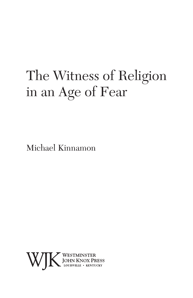# The Witness of Religion in an Age of Fear

Michael Kinnamon

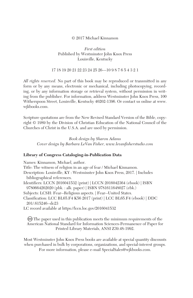#### © 2017 Michael Kinnamon

### *First edition* Published by Westminster John Knox Press Louisville, Kentucky

#### 17 18 19 20 21 22 23 24 25 26—10 9 8 7 6 5 4 3 2 1

*All rights reserved.* No part of this book may be reproduced or transmitted in any form or by any means, electronic or mechanical, including photocopying, recording, or by any information storage or retrieval system, without permission in writing from the publisher. For information, address Westminster John Knox Press, 100 Witherspoon Street, Louisville, Kentucky 40202-1396. Or contact us online at www. wjkbooks.com.

Scripture quotations are from the New Revised Standard Version of the Bible, copyright © 1989 by the Division of Christian Education of the National Council of the Churches of Christ in the U.S.A. and are used by permission.

*Book design by Sharon Adams Cover design by Barbara LeVan Fisher, www.levanfisherstudio.com*

#### **Library of Congress Cataloging-in-Publication Data**

Names: Kinnamon, Michael, author. Title: The witness of religion in an age of fear / Michael Kinnamon. Description: Louisville, KY : Westminster John Knox Press, 2017. | Includes bibliographical references. Identifiers: LCCN 2016041532 (print) | LCCN 2016042364 (ebook) | ISBN 9780664262020 (pbk. : alk. paper) | ISBN 9781611648027 (ebk.) Subjects: LCSH: Fear--Religious aspects. | Fear--United States. Classification: LCC BL65.F4 K56 2017 (print) | LCC BL65.F4 (ebook) | DDC 201/.615246--dc23 LC record available at https://lccn.loc.gov/2016041532

The paper used in this publication meets the minimum requirements of the American National Standard for Information Sciences-Permanence of Paper for Printed Library Materials, ANSI Z39.48-1992.

Most Westminster John Knox Press books are available at special quantity discounts when purchased in bulk by corporations, organizations, and special-interest groups. For more information, please e-mail SpecialSales@wjkbooks.com.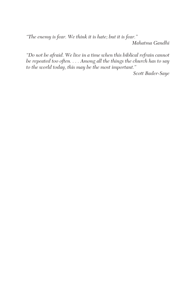*"The enemy is fear. We think it is hate; but it is fear." Mahatma Gandhi*

*"Do not be afraid. We live in a time when this biblical refrain cannot be repeated too often. . . . Among all the things the church has to say to the world today, this may be the most important."*

*Scott Bader-Saye*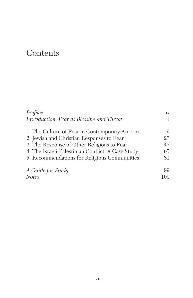# **Contents**

| Preface                                           | ix  |
|---------------------------------------------------|-----|
| Introduction: Fear as Blessing and Threat         | 1   |
| 1. The Culture of Fear in Contemporary America    | 9   |
| 2. Jewish and Christian Responses to Fear         | 27  |
| 3. The Response of Other Religions to Fear        | 47  |
| 4. The Israeli-Palestinian Conflict: A Case Study | 65  |
| 5. Recommendations for Religious Communities      | 81  |
| A Guide for Study                                 | 99  |
| <b>Notes</b>                                      | 109 |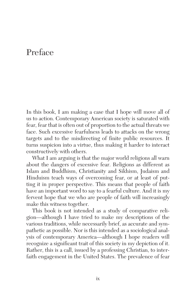# Preface

In this book, I am making a case that I hope will move all of us to action. Contemporary American society is saturated with fear, fear that is often out of proportion to the actual threats we face. Such excessive fearfulness leads to attacks on the wrong targets and to the misdirecting of finite public resources. It turns suspicion into a virtue, thus making it harder to interact constructively with others.

What I am arguing is that the major world religions all warn about the dangers of excessive fear. Religions as different as Islam and Buddhism, Christianity and Sikhism, Judaism and Hinduism teach ways of overcoming fear, or at least of putting it in proper perspective. This means that people of faith have an important word to say to a fearful culture. And it is my fervent hope that we who are people of faith will increasingly make this witness together.

This book is not intended as a study of comparative religion—although I have tried to make my descriptions of the various traditions, while necessarily brief, as accurate and sympathetic as possible. Nor is this intended as a sociological analysis of contemporary America—although I hope readers will recognize a significant trait of this society in my depiction of it. Rather, this is a call, issued by a professing Christian, to interfaith engagement in the United States. The prevalence of fear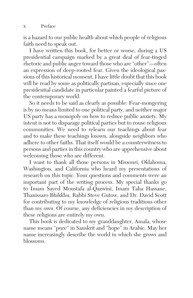is a hazard to our public health about which people of religious faith need to speak out.

I have written this book, for better or worse, during a US presidential campaign marked by a great deal of fear-tinged rhetoric and public anger toward those who are "other"—often an expression of deep-rooted fear. Given the ideological passions of this historical moment, I have little doubt that this book will be read by some as politically partisan, especially since one presidential candidate in particular painted a fearful picture of the contemporary world.

So it needs to be said as clearly as possible: Fear-mongering is by no means limited to one political party, and neither major US party has a monopoly on how to reduce public anxiety. My intent is not to disparage political parties but to rouse religious communities. We need to relearn our teachings about fear and to make these teachings known, alongside neighbors who adhere to other faiths. That itself would be a counterwitness to persons and parties in this country who are apprehensive about welcoming those who are different.

I want to thank all those persons in Missouri, Oklahoma, Washington, and California who heard my presentations of research on this topic. Your questions and comments were an important part of the writing process. My special thanks go to Imam Sayed Moustafa al-Qazwini, Imam Taha Hassane, Thanissaro Bhikkhu, Rabbi Steve Gutow, and Dr. David Scott for contributing to my knowledge of religious traditions other than my own. Of course, any deficiencies in my description of these religions are entirely my own.

This book is dedicated to my granddaughter, Amala, whose name means "pure" in Sanskrit and "hope" in Arabic. May her name increasingly describe the world in which she grows and blossoms.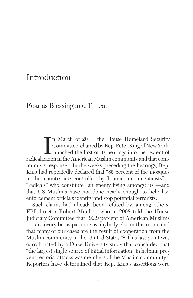# Introduction

## Fear as Blessing and Threat

I<br>zatic n March of 2011, the House Homeland Security Committee, chaired by Rep. Peter King of New York, launched the first of its hearings into the "extent of radicalization in the American Muslim community and that community's response." In the weeks preceding the hearings, Rep. King had repeatedly declared that "85 percent of the mosques in this country are controlled by Islamic fundamentalists"— "radicals" who constitute "an enemy living amongst us"—and that US Muslims have not done nearly enough to help law enforcement officials identify and stop potential terrorists.<sup>1</sup>

Such claims had already been refuted by, among others, FBI director Robert Mueller, who in 2008 told the House Judiciary Committee that "99.9 percent of American Muslims . . . are every bit as patriotic as anybody else in this room, and that many of our cases are the result of cooperation from the Muslim community in the United States."2 This last point was corroborated by a Duke University study that concluded that "the largest single source of initial information" in helping prevent terrorist attacks was members of the Muslim community.3 Reporters have determined that Rep. King's assertions were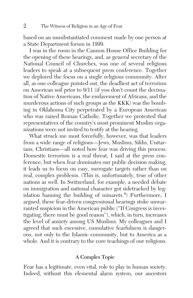based on an unsubstantiated comment made by one person at a State Department forum in 1999.

I was in the room in the Cannon House Office Building for the opening of these hearings, and, as general secretary of the National Council of Churches, was one of several religious leaders to speak at a subsequent press conference. Together we deplored the focus on a single religious community. After all, as one colleague pointed out, the deadliest act of terrorism on American soil prior to 9/11 (if you don't count the decimation of Native Americans, the enslavement of Africans, and the murderous actions of such groups as the KKK) was the bombing in Oklahoma City perpetrated by a European American who was raised Roman Catholic. Together we protested that representatives of the country's most prominent Muslim organizations were not invited to testify at the hearing.

What struck me most forcefully, however, was that leaders from a wide range of religions—Jews, Muslims, Sikhs, Unitarians, Christians—all noted how fear was driving this process. Domestic terrorism is a real threat, I said at the press conference, but when fear dominates our public decision making, it leads us to focus on easy, surrogate targets rather than on real, complex problems. (This is, unfortunately, true of other nations as well. In Switzerland, for example, a needed debate on immigration and national character got sidetracked by legislation banning the building of minarets.<sup>4</sup>) Furthermore, I argued, these fear-driven congressional hearings stoke unwarranted suspicion in the American public ("If Congress is investigating, there must be good reason"), which, in turn, increases the level of anxiety among US Muslims. My colleagues and I agreed that such excessive, cumulative fearfulness is dangerous, not only to the Islamic community, but to America as a whole. And it is contrary to the core teachings of our religions.

### **A Complex Topic**

Fear has a legitimate, even vital, role to play in human society. Indeed, without this elemental alarm system, our ancestors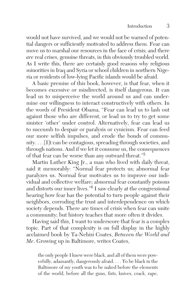would not have survived, and we would not be warned of potential dangers or sufficiently motivated to address them. Fear can move us to marshal our resources in the face of crisis; and there *are* real crises, genuine threats, in this obviously troubled world. As I write this, there are certainly good reasons why religious minorities in Iraq and Syria or school children in northern Nigeria or residents of low-lying Pacific islands would be afraid.

A basic premise of this book, however, is that fear, when it becomes excessive or misdirected, is itself dangerous. It can lead us to misperceive the world around us and can undermine our willingness to interact constructively with others. In the words of President Obama, "Fear can lead us to lash out against those who are different, or lead us to try to get some sinister 'other' under control. Alternatively, fear can lead us to succumb to despair or paralysis or cynicism. Fear can feed our more selfish impulses, and erode the bonds of community. . . .[I]t can be contagious, spreading through societies, and through nations. And if we let it consume us, the consequences of that fear can be worse than any outward threat."5

Martin Luther King Jr., a man who lived with daily threat, said it memorably: "Normal fear protects us; abnormal fear paralyzes us. Normal fear motivates us to improve our individual and collective welfare; abnormal fear constantly poisons and distorts our inner lives."6 I saw clearly at the congressional hearing how fear has the potential to turn people against their neighbors, corroding the trust and interdependence on which society depends. There are times of crisis when fear can unite a community; but history teaches that more often it divides.

Having said this, I want to underscore that fear is a complex topic. Part of that complexity is on full display in the highly acclaimed book by Ta-Nehisi Coates, *Between the World and Me*. Growing up in Baltimore, writes Coates,

the only people I knew were black, and all of them were powerfully, adamantly, dangerously afraid. . . . To be black in the Baltimore of my youth was to be naked before the elements of the world, before all the guns, fists, knives, crack, rape,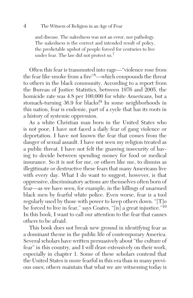### 4 The Witness of Religion in an Age of Fear

and disease. The nakedness was not an error, nor pathology. The nakedness is the correct and intended result of policy, the predictable upshot of people forced for centuries to live under fear. The law did not protect us.7

Often this fear is transmuted into rage—"violence rose from the fear like smoke from a fire"8—which compounds the threat to others in the black community. According to a report from the Bureau of Justice Statistics, between 1976 and 2005, the homicide rate was 4.8 per 100,000 for white Americans, but a stomach-turning 36.9 for blacks!<sup>9</sup> In some neighborhoods in this nation, fear is endemic, part of a cycle that has its roots in a history of systemic oppression.

As a white Christian man born in the United States who is not poor, I have not faced a daily fear of gang violence or deportation. I have not known the fear that comes from the danger of sexual assault. I have not seen my religion treated as a public threat. I have not felt the gnawing insecurity of having to decide between spending money for food or medical insurance. So it is not for me, or others like me, to dismiss as illegitimate or destructive these fears that many Americans live with every day. What I do want to suggest, however, is that oppressive, discriminatory actions are themselves often born of fear—as we have seen, for example, in the killings of unarmed black men by fearful white police. Even worse, fear is a tool regularly used by those with power to keep others down. "[T]o be forced to live in fear," says Coates, "[is] a great injustice."10 In this book, I want to call our attention to the fear that causes others to be afraid.

This book does not break new ground in identifying fear as a dominant theme in the public life of contemporary America. Several scholars have written persuasively about "the culture of fear" in this country, and I will draw extensively on their work, especially in chapter 1. Some of these scholars contend that the United States is more fearful in this era than in many previous ones; others maintain that what we are witnessing today is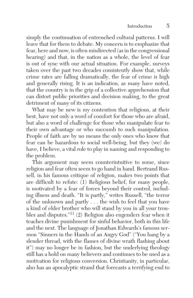simply the continuation of entrenched cultural patterns. I will leave that for them to debate. My concern is to emphasize that fear, here and now, is often misdirected (as in the congressional hearing) and that, in the nation as a whole, the level of fear is out of sync with our actual situation. For example, surveys taken over the past two decades consistently show that, while crime rates are falling dramatically, the fear of crime is high and generally rising. It is an indication, as many have noted, that the country is in the grip of a collective apprehension that can distort public priorities and decision making, to the great detriment of many of its citizens.

What may be new is my contention that religions, at their best, have not only a word of comfort for those who are afraid, but also a word of challenge for those who manipulate fear to their own advantage or who succumb to such manipulation. People of faith are by no means the only ones who know that fear can be hazardous to social well-being, but they (we) do have, I believe, a vital role to play in naming and responding to the problem.

This argument may seem counterintuitive to some, since religion and fear often seem to go hand in hand. Bertrand Russell, in his famous critique of religion, makes two points that are difficult to refute: (1) Religious belief, for many people, is motivated by a fear of forces beyond their control, including illness and death. "It is partly," writes Russell, "the terror of the unknown and partly . . . the wish to feel that you have a kind of elder brother who will stand by you in all your troubles and disputes."<sup>11</sup> (2) Religion also engenders fear when it teaches divine punishment for sinful behavior, both in this life and the next. The language of Jonathan Edwards's famous sermon "Sinners in the Hands of an Angry God" ("You hang by a slender thread, with the flames of divine wrath flashing about it") may no longer be in fashion, but the underlying theology still has a hold on many believers and continues to be used as a motivation for religious conversion. Christianity, in particular, also has an apocalyptic strand that forecasts a terrifying end to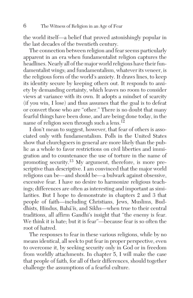the world itself—a belief that proved astonishingly popular in the last decades of the twentieth century.

The connection between religion and fear seems particularly apparent in an era when fundamentalist religion captures the headlines. Nearly all of the major world religions have their fundamentalist wings; and fundamentalism, whatever its veneer, is the religious form of the world's anxiety. It draws lines, to keep its identity secure by keeping others out. It responds to anxiety by demanding certainty, which leaves no room to consider views at variance with its own. It adopts a mindset of scarcity (if you win, I lose) and thus assumes that the goal is to defeat or convert those who are "other." There is no doubt that many fearful things have been done, and are being done today, in the name of religion seen through such a lens.<sup>12</sup>

I don't mean to suggest, however, that fear of others is associated only with fundamentalism. Polls in the United States show that churchgoers in general are more likely than the public as a whole to favor restrictions on civil liberties and immigration and to countenance the use of torture in the name of promoting security.13 My argument, therefore, is more prescriptive than descriptive. I am convinced that the major world religions can be—and should be—a bulwark against obsessive, excessive fear. I have no desire to harmonize religious teachings; differences are often as interesting and important as similarities. But I hope to demonstrate in chapters 2 and 3 that people of faith—including Christians, Jews, Muslims, Buddhists, Hindus, Bahá'ís, and Sikhs—when true to their central traditions, all affirm Gandhi's insight that "the enemy is fear. We think it is hate; but it is fear"—because fear is so often the root of hatred.

The responses to fear in these various religions, while by no means identical, all seek to put fear in proper perspective, even to overcome it, by seeking security only in God or in freedom from worldly attachments. In chapter 5, I will make the case that people of faith, for all of their differences, should together challenge the assumptions of a fearful culture.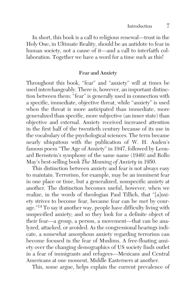In short, this book is a call to religious renewal—trust in the Holy One, in Ultimate Reality, should be an antidote to fear in human society, not a cause of it—and a call to interfaith collaboration. Together we have a word for a time such as this!

### **Fear and Anxiety**

Throughout this book, "fear" and "anxiety" will at times be used interchangeably. There is, however, an important distinction between them: "fear" is generally used in connection with a specific, immediate, objective threat, while "anxiety" is used when the threat is more anticipated than immediate, more generalized than specific, more subjective (an inner state) than objective and external. Anxiety received increased attention in the first half of the twentieth century because of its use in the vocabulary of the psychological sciences. The term became nearly ubiquitous with the publication of W. H. Auden's famous poem "The Age of Anxiety" in 1947, followed by Leonard Bernstein's symphony of the same name (1949) and Rollo May's best-selling book *The Meaning of Anxiety* in 1950.

This distinction between anxiety and fear is not always easy to maintain. Terrorism, for example, may be an imminent fear in one place or time, but a generalized, nonspecific anxiety at another. The distinction becomes useful, however, when we realize, in the words of theologian Paul Tillich, that "[a]nxiety strives to become fear, because fear can be met by courage."14 To say it another way, people have difficulty living with unspecified anxiety; and so they look for a definite object of their fear—a group, a person, a movement—that can be analyzed, attacked, or avoided. As the congressional hearings indicate, a somewhat amorphous anxiety regarding terrorism can become focused in the fear of Muslims. A free-floating anxiety over the changing demographics of US society finds outlet in a fear of immigrants and refugees—Mexicans and Central Americans at one moment, Middle Easterners at another.

This, some argue, helps explain the current prevalence of